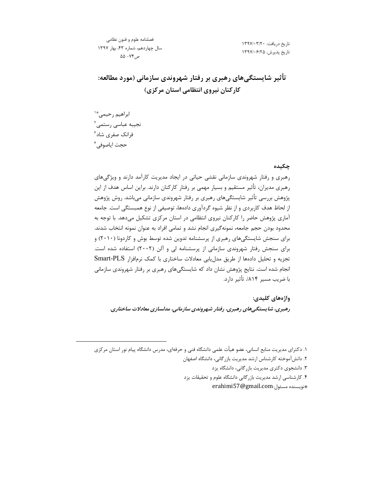فصلنامه علوم و فنون نظامى سال چهاردهم، شماره ۴۳، بهار ۱۳۹۷ ص ۷۴- ۵۵

تاریخ دریافت: ۱۳۹۷/۰۳/۲۰ تاريخ پذيرش: ١٣٩٧/٠۶/٢۵

تأثیر شایستگیهای رهبری بر رفتار شهروندی سازمانی (مورد مطالعه: کار *ک*نان نیروی انتظامی استان مرکزی)

ابراهيم رحيمي<sup>\*'</sup> نجيبه عباسى رستمى<sup>٢</sup> فرانک صفری شاد<sup>۳</sup> حجت اياصوفي<sup>۴</sup>

 $\overline{a}$ 

### چکیده

رهبری و رفتار شهروندی سازمانی نقشی حیاتی در ایجاد مدیریت کارآمد دارند و ویژگیهای رهبری مدیران، تأثیر مستقیم و بسیار مهمی بر رفتار کارکنان دارند. براین اساس هدف از این پژوهش بررسی تأثیر شایستگیهای رهبری بر رفتار شهروندی سازمانی میباشد. روش پژوهش از لحاظ هدف کاربردی و از نظر شیوه گردآوری دادهها، توصیفی از نوع همبستگی است. جامعه آماری پژوهش حاضر را کارکنان نیروی انتظامی در استان مرکزی تشکیل میدهد. با توجه به محدود بودن حجم جامعه، نمونهگیری انجام نشد و تمامی افراد به عنوان نمونه انتخاب شدند. برای سنجش شایستگیهای رهبری از پرسشنامه تدوین شده توسط بوش و کاردونا (۲۰۱۰) و برای سنجش رفتار شهروندی سازمانی از پرسشنامه لی و آلن (۲۰۰۲) استفاده شده است. تجزیه و تحلیل دادهها از طریق مدلیابی معادلات ساختاری با کمک نرمافزار Smart-PLS انجام شده است. نتایج پژوهش نشان داد که شایستگیهای رهبری بر رفتار شهروندی سازمانی با ضریب مسیر ۸۱۴/. تأثیر دارد.

**واژەهای کلیدی:** رهبری، شایستگیهای رهبری، رفتار شهروندی سازمانی، مدلسازی معادلات ساختاری.

١. دكتراي مديريت منابع انساني، عضو هيأت علمي دانشگاه فني و حرفهاي، مدرس دانشگاه پيام نور استان مركزي ۲. دانش آموخته كارشناس ارشد مديريت بازر گاني، دانشگاه اصفهان ۳. دانشجوی دکتری مدیریت بازرگانی، دانشگاه یزد ۴. کارشناسی ارشد مدیریت بازرگانی دانشگاه علوم و تحقیقات یزد

erahimi57@gmail.com: فويسنده مسئول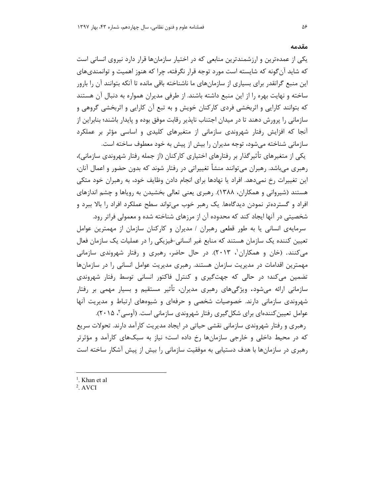### مقدمه

یکی از عمدهترین و ارزشمندترین منابعی که در اختیار سازمانها قرار دارد نیروی انسانی است که شاید آنگونه که شایسته است مورد توجه قرار نگرفته، چرا که هنوز اهمیت و توانمندیهای این منبع گرانقدر برای بسیاری از سازمانهای ما ناشناخته باقی مانده تا آنکه بتوانند آن را بارور ساخته و نهایت بهره را از این منبع داشته باشند. از طرفی مدیران همواره به دنبال آن هستند که بتوانند کارایی و اثربخشی فردی کارکنان خویش و به تبع آن کارایی و اثربخشی گروهی و سازمانی را پرورش دهند تا در میدان اجتناب ناپذیر رقابت موفق بوده و پایدار باشند؛ بنابراین از آنجا که افزایش رفتار شهروندی سازمانی از متغیرهای کلیدی و اساسی مؤثر بر عملکرد سازمانی شناخته میشود، توجه مدیران را بیش از پیش به خود معطوف ساخته است.

یکی از متغیرهای تأثیرگذار بر رفتارهای اختیاری کارکنان (از جمله رفتار شهروندی سازمانی)، رهبری میباشد. رهبران میتوانند منشأ تغییراتی در رفتار شوند که بدون حضور و اعمال آنان، این تغییرات رخ نمی۵هد. افراد یا نهادها برای انجام دادن وظایف خود، به رهبران خود متکی هستند (شیروانی و همکاران، ۱۳۸۸). رهبری یعنی تعالی بخشیدن به رویاها و چشم اندازهای افراد و گستردهتر نمودن دیدگاهها. یک رهبر خوب می تواند سطح عملکرد افراد را بالا ببرد و شخصیتی در آنها ایجاد کند که محدوده آن از مرزهای شناخته شده و معمولی فراتر رود.

سرمایهی انسانی یا به طور قطعی رهبران / مدیران و کارکنان سازمان از مهمترین عوامل تعیین کننده یک سازمان هستند که منابع غیر انسانی-فیزیکی را در عملیات یک سازمان فعال می کنند. (خان و همکاران'، ۲۰۱۳). در حال حاضر، رهبری و رفتار شهروندی سازمانی مهمترین اقدامات در مدیریت سازمان هستند. رهبری مدیریت عوامل انسانی را در سازمانها تضمين مي كند؛ در حالي كه جهت گيري و كنترل فاكتور انساني توسط رفتار شهروندي سازمانی ارائه میشود. ویژگیهای رهبری مدیران، تأثیر مستقیم و بسیار مهمی بر رفتار شهروندی سازمانی دارند. خصوصیات شخصی و حرفهای و شیوههای ارتباط و مدیریت آنها عوامل تعیین کنندهای برای شکل گیری رفتار شهروندی سازمانی است. (آوسی ۲۰۱۵). رهبری و رفتار شهروندی سازمانی نقشی حیاتی در ایجاد مدیریت کارآمد دارند. تحولات سریع

که در محیط داخلی و خارجی سازمانها رخ داده است؛ نیاز به سبکهای کارآمد و مؤثرتر رهبری در سازمانها با هدف دستیابی به موفقیت سازمانی را بیش از پیش آشکار ساخته است

<sup>&</sup>lt;sup>1</sup>. Khan et al

 $2.$  AVCI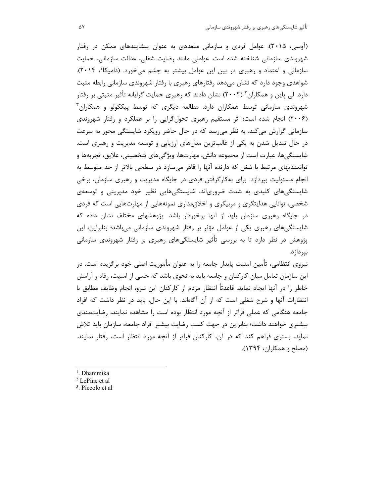(آوسی، ۲۰۱۵). عوامل فردی و سازمانی متعددی به عنوان پیشایندهای ممکن در رفتار شهروندی سازمانی شناخته شده است. عواملی مانند رضایت شغلی، عدالت سازمانی، حمایت سازمانی و اعتماد و رهبری در بین این عوامل بیشتر به چشم میخورد. (دامیکا<sup>۰</sup>، ۲۰۱۴). شواهدی وجود دارد که نشان میدهد رفتارهای رهبری با رفتار شهروندی سازمانی رابطه مثبت دارد. لی پاین و همکاران<sup>۲</sup> (۲۰۰۲) نشان دادند که رهبری حمایت گرایانه تأثیر مثبتی بر رفتار شهروندی سازمانی توسط همکاران دارد. مطالعه دیگری که توسط پیککولو و همکاران<sup>۳</sup> (۲۰۰۶) انجام شده است؛ اثر مستقیم رهبری تحولگرایی را بر عملکرد و رفتار شهروندی سازمانی گزارش می کند. به نظر می رسد که در حال حاضر رویکرد شایستگی محور به سرعت در حال تبدیل شدن به یکی از غالبترین مدلهای ارزیابی و توسعه مدیریت و رهبری است. شایستگیها، عبارت است از مجموعه دانش، مهارتها، ویژگیهای شخصیتی، علایق، تجربهها و توانمندیهای مرتبط با شغل که دارنده آنها را قادر میسازد در سطحی بالاتر از حد متوسط به انجام مسئولیت بیردازد. برای بهکارگرفتن فردی در جایگاه مدیریت و رهبری سازمان، برخی شایستگیهای کلیدی به شدت ضروریاند. شایستگیهایی نظیر خود مدیریتی و توسعهی شخصی، توانایی هدایتگری و مربیگری و اخلاقمداری نمونههایی از مهارتهایی است که فردی در جایگاه رهبری سازمان باید از آنها برخوردار باشد. پژوهشهای مختلف نشان داده که شایستگی های رهبری یکی از عوامل مؤثر بر رفتار شهروندی سازمانی می باشد؛ بنابراین، این پژوهش در نظر دارد تا به بررسی تأثیر شایستگیهای رهبری بر رفتار شهروندی سازمانی بیر داز د.

نیروی انتظامی، تأمین امنیت پایدار جامعه را به عنوان مأموریت اصلی خود برگزیده است. در این سازمان تعامل میان کارکنان و جامعه باید به نحوی باشد که حسی از امنیت، رفاه و آرامش خاطر را در آنها ایجاد نماید. قاعدتاً انتظار مردم از کارکنان این نیرو، انجام وظایف مطابق با انتظارات آنها و شرح شغلی است که از آن آگاهاند. با این حال، باید در نظر داشت که افراد جامعه هنگامی که عملی فراتر از آنچه مورد انتظار بوده است را مشاهده نمایند، رضایتمندی بیشتری خواهند داشت؛ بنابراین در جهت کسب رضایت بیشتر افراد جامعه، سازمان باید تلاش نماید، بستری فراهم کند که در آن، کارکنان فراتر از آنچه مورد انتظار است، رفتار نمایند. (مصلح و همکاران، ۱۳۹۴).

<sup>1</sup>. Dhammika

 $\overline{a}$ 

<sup>2</sup> LePine et al

<sup>3</sup> . Piccolo et al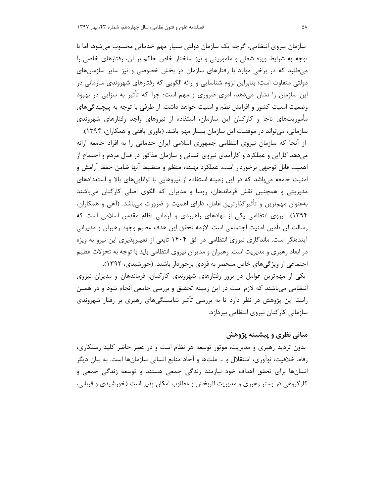سازمان نیروی انتظامی، گرچه یک سازمان دولتی بسیار مهم خدماتی محسوب میشود، اما با توجه به شرایط ویژه شغلی و مأموریتی و نیز ساختار خاص حاکم بر آن، رفتارهای خاصی را می طلبد که در برخی موارد با رفتارهای سازمان در بخش خصوصی و نیز سایر سازمانهای دولتی متفاوت است؛ بنابراین لزوم شناسایی و ارائه الگویی که رفتارهای شهروندی سازمانی در این سازمان را نشان میدهد، امری ضروری و مهم است؛ چرا که تأثیر به سزایی در بهبود وضعیت امنیت کشور و افزایش نظم و امنیت خواهد داشت. از طرفی با توجه به پیچیدگی های مأموریتهای ناجا و کارکنان این سازمان، استفاده از نیروهای واجد رفتارهای شهروندی سازمانی، می تواند در موفقیت این سازمان بسیار مهم باشد. (یاوری بافقی و همکاران، ۱۳۹۴).

از آنجا که سازمان نیروی انتظامی جمهوری اسلامی ایران خدماتی را به افراد جامعه ارائه می دهد کارایی و عملکرد و کارآمدی نیروی انسانی و سازمان مذکور در قبال مردم و اجتماع از اهميت قابل توجهي برخوردار است. عملكرد بهينه، منظم و منضبط آنها ضامن حفظ آرامش و امنیت جامعه می باشد که در این زمینه استفاده از نیروهایی با توانایی های بالا و استعدادهای مدیریتی و همچنین نقش فرماندهان، روسا و مدیران که الگوی اصلی کارکنان میباشند بهعنوان مهمترین و تأثیرگذارترین عامل، دارای اهمیت و ضرورت میباشد. (آهی و همکاران، ۱۳۹۴). نیروی انتظامی یکی از نهادهای راهبردی و آرمانی نظام مقدس اسلامی است که رسالت آن تأمين امنيت اجتماعي است. لازمه تحقق اين هدف عظيم وجود رهبران و مديراني آیندهنگر است. ماندگاری نیروی انتظامی در افق ۱۴۰۴ تابعی از تغییرپذیری این نیرو به ویژه در ابعاد رهبری و مدیریت است. رهبران و مدیران نیروی انتظامی باید با توجه به تحولات عظیم اجتماعی از ویژگی های خاص منحصر به فردی برخوردار باشند. (خورشیدی، ۱۳۹۲). یکی از مهمترین عوامل در بروز رفتارهای شهروندی کارکنان، فرماندهان و مدیران نیروی انتظامی می باشند که لازم است در این زمینه تحقیق و بررسی جامعی انجام شود و در همین راستا این پژوهش در نظر دارد تا به بررسی تأثیر شایستگیهای رهبری بر رفتار شهروندی سازمانی کارکنان نیروی انتظامی بپردازد.

# مبانی نظری و پیشینه پژوهش

بدون تردید رهبری و مدیریت، موتور توسعه هر نظام است و در عصر حاضر کلید رستکاری، رفاه، خلاقیت، نوآوری، استقلال و … ملتها و آحاد منابع انسانی سازمانها است. به بیان دیگر انسانها برای تحقق اهداف خود نیازمند زندگی جمعی هستند و توسعه زندگی جمعی و کارگروهی در بستر رهبری و مدیریت اثربخش و مطلوب امکان پذیر است (خورشیدی و قربانی،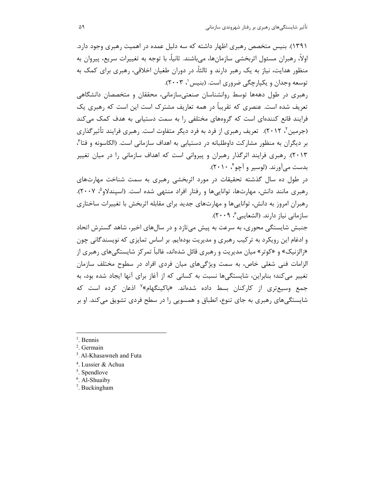٬۱۳۹۱). بنیس متخصص رهبری اظهار داشته که سه دلیل عمده در اهمیت رهبری وجود دارد. اولاً، رهبران مسئول اثربخشي سازمانها، ميباشند. ثانياً، با توجه به تغييرات سريع، پيروان به منظور هدایت، نیاز به یک رهبر دارند و ثالثاً، در دوران طغیان اخلاقی، رهبری برای کمک به توسعه وجدان و یکپارچگی ضروری است. (بنیس '، ۲۰۰۳).

رهبری در طول دههها توسط روانشناسان صنعتیسازمانی، محققان و متخصصان دانشگاهی تعریف شده است. عنصری که تقریباً در همه تعاریف مشترک است این است که رهبری یک فرایند قانع کنندهای است که گروههای مختلفی را به سمت دستیابی به هدف کمک می کند (جرمین'، ۲۰۱۲). تعریف رهبری از فرد به فرد دیگر متفاوت است. رهبری فرایند تأثیرگذاری بر دیگران به منظور مشارکت داوطلبانه در دستیابی به اهداف سازمانی است. (الکاسونه و فتا<sup>۳</sup>، ۲۰۱۳). رهبری فرایند اثرگذار رهبران و پیروانی است که اهداف سازمانی را در میان تغییر بدست میآورند. (لوسیر و آچو ٔ ۲۰۱۰).

در طول ده سال گذشته تحقیقات در مورد اثربخشی رهبری به سمت شناخت مهارتهای رهبری مانند دانش، مهارتها، تواناییها و رفتار افراد منتهی شده است. (اسپندلاو<sup>م</sup>، ۲۰۰۷). رهبران امروز به دانش، تواناییها و مهارتهای جدید برای مقابله اثربخش با تغییرات ساختاری سازمانی نیاز دارند. (الشعایبی ٔ، ۲۰۰۹).

جنبش شایستگی محوری، به سرعت به پیش میتازد و در سالهای اخیر، شاهد گسترش اتحاد و ادغام این رویکرد به ترکیب رهبری و مدیریت بودهایم. بر اساس تمایزی که نویسندگانی چون «زالزنیک» و «کوتر» میان مدیریت و رهبری قائل شدهاند، غالباً تمرکز شایستگیهای رهبری از الزامات فنی شغلی خاص، به سمت ویژگیهای میان فردی افراد در سطوح مختلف سازمان تغییر میکند؛ بنابراین، شایستگیها نسبت به کسانی که از آغاز برای آنها ایجاد شده بود، به جمع وسیعتری از کارکنان بسط داده شدهاند. «باکینگهام»<sup>۷</sup> اذعان کرده است که شایستگیهای رهبری به جای تنوع، انطباق و همسویی را در سطح فردی تشویق میکند. او بر

<sup>1</sup>. Bennis

 $\overline{a}$ 

- 2 . Germain
- 3 . Al-Khasawneh and Futa
- 4 . Lussier & Achua
- 5 . Spendlove
- <sup>6</sup>. Al-Shuaiby
- 7 . Buckingham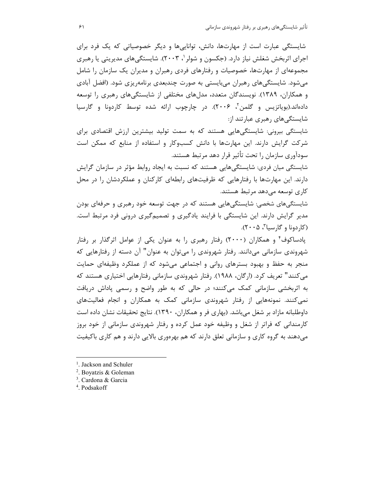شایستگی عبارت است از مهارتها، دانش، تواناییها و دیگر خصوصیاتی که یک فرد برای اجرای اثربخش شغلش نیاز دارد. (جکسون و شولر '، ۲۰۰۳). شایستگیهای مدیریتی یا رهبری مجموعهای از مهارتها، خصوصیات و رفتارهای فردی رهبران و مدیران یک سازمان را شامل میشود. شایستگیهای رهبران میبایستی به صورت چندبعدی برنامهریزی شود. (افضل آبادی و همکاران، ۱۳۸۹). نویسندگان متعدد، مدلهای مختلفی از شایستگیهای رهبری را توسعه دادهاند.(بویاتزیس و گلمن<sup>۲</sup>، ۲۰۰۶). در چارچوب ارائه شده توسط کاردونا و گارسیا شایستگیهای رهبری عبارتند از:

شایستگی بیرونی: شایستگیهایی هستند که به سمت تولید بیشترین ارزش اقتصادی برای شرکت گرایش دارند. این مهارتها با دانش کسبوکار و استفاده از منابع که ممکن است سودآوری سازمان را تحت تأثیر قرار دهد مرتبط هستند.

شایستگی میان فردی: شایستگی هایی هستند که نسبت به ایجاد روابط مؤثر در سازمان گرایش دارند. این مهارتها با رفتارهایی که ظرفیتهای رابطهای کارکنان و عملکردشان را در محل كارى توسعه مىدهد مرتبط هستند.

شایستگیهای شخصی: شایستگیهایی هستند که در جهت توسعه خود رهبری و حرفهای بودن مدیر گرایش دارند. این شایستگی با فرایند یادگیری و تصمیمگیری درونی فرد مرتبط است. (کاردونا و گارسيا<sup>۳</sup>، ۲۰۰۵).

پادساکوف ٔ و همکاران (۲۰۰۰) رفتار رهبری را به عنوان یکی از عوامل اثرگذار بر رفتار شهروندی سازمانی میدانند. رفتار شهروندی را میتوان به عنوان" آن دسته از رفتارهایی که منجر به حفظ و بهبود بسترهای روانی و اجتماعی میشود که از عملکرد وظیفهای حمایت میکنند" تعریف کرد. (ارگان، ۱۹۸۸). رفتار شهروندی سازمانی رفتارهایی اختیاری هستند که به اثربخشی سازمانی کمک میکنند؛ در حالی که به طور واضح و رسمی پاداش دریافت نمی کنند. نمونههایی از رفتار شهروندی سازمانی کمک به همکاران و انجام فعالیتهای داوطلبانه مازاد بر شغل میباشد. (بهاری فر و همکاران، ۱۳۹۰). نتایج تحقیقات نشان داده است کارمندانی که فراتر از شغل و وظیفه خود عمل کرده و رفتار شهروندی سازمانی از خود بروز میدهند به گروه کاری و سازمانی تعلق دارند که هم بهرهوری بالایی دارند و هم کاری باکیفیت

- 3 . Cardona & Garcia
- 4 . Podsakoff

l

<sup>&</sup>lt;sup>1</sup>. Jackson and Schuler

<sup>2</sup> . Boyatzis & Goleman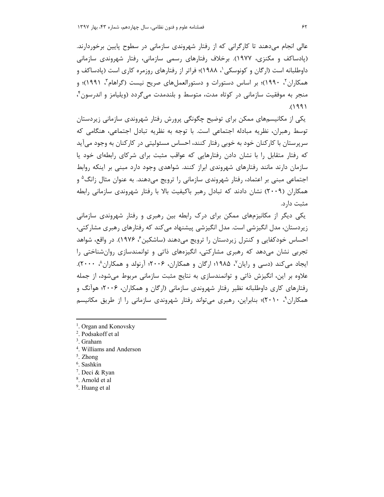عالی انجام میدهند تا کارگرانی که از رفتار شهروندی سازمانی در سطوح پایین برخوردارند. (پادساکف و مکنزی، ۱۹۷۷). برخلاف رفتارهای رسمی سازمانی، رفتار شهروندی سازمانی داوطلبانه است (ارگان و کونوسکی'، ۱۹۸۸)؛ فراتر از رفتارهای روزمره کاری است (پادساکف و همکاران٬ ۱۹۹۰٬)؛ بر اساس دستورات و دستورالعملهای صریح نیست (گراهام٬ ۱۹۹۱)؛ و منجر به موفقيت سازماني در كوتاه مدت، متوسط و بلندمدت مي گردد (ويليامز و اندرسون ً،  $(199)$ 

یکی از مکانیسمهای ممکن برای توضیح چگونگی پرورش رفتار شهروندی سازمانی زیردستان توسط رهبران، نظريه مبادله اجتماعي است. با توجه به نظريه تبادل اجتماعي، هنگامي كه سرپرستان با کارکنان خود به خوبی رفتار کنند، احساس مسئولیتی در کارکنان به وجود میآید که رفتار متقابل را با نشان دادن رفتارهایی که عواقب مثبت برای شرکای رابطهای خود یا سازمان دارند مانند رفتارهای شهروندی ایراز کنند. شواهدی وجود دارد مبنی بر اینکه روابط اجتماعی مبنی بر اعتماد، رفتار شهروندی سازمانی را ترویج میدهند. به عنوان مثال زانگ<sup>۵</sup> و همکاران (۲۰۰۹) نشان دادند که تبادل رهبر باکیفیت بالا با رفتار شهروندی سازمانی رابطه مثبت دارد.

یکی دیگر از مکانیزمهای ممکن برای درک رابطه بین رهبری و رفتار شهروندی سازمانی زیردستان، مدل انگیزشی است. مدل انگیزشی پیشنهاد می کند که رفتارهای رهبری مشارکتی، احساس خودکفایی و کنترل زیردستان را ترویج میدهند (ساشکین ٔ، ۱۹۷۶). در واقع، شواهد تجربی نشان می۵هد که رهبری مشارکتی، انگیزههای ذاتی و توانمندسازی روانشناختی را ایجاد می کند (دسی و رایان ٌ، ۱۹۸۵؛ ارگان و همکاران، ۲۰۰۶؛ آرنولد و همکاران ُ، ۲۰۰۰). علاوه بر این، انگیزش ذاتی و توانمندسازی به نتایج مثبت سازمانی مربوط می شود، از جمله رفتارهای کاری داوطلبانه نظیر رفتار شهروندی سازمانی (ارگان و همکاران، ۲۰۰۶؛ هوآنگ و همکاران ۲۰۱۰)؛ بنابراین، رهبری می تواند رفتار شهروندی سازمانی را از طریق مکانیسم

- <sup>1</sup>. Organ and Konovsky
- <sup>2</sup>. Podsakoff et al
- $3.$  Graham
- <sup>4</sup>. Williams and Anderson
- $5.$  Zhong
- $6.$  Sashkin
- <sup>7</sup>. Deci & Ryan
- <sup>8</sup>. Arnold et al
- <sup>9</sup>. Huang et al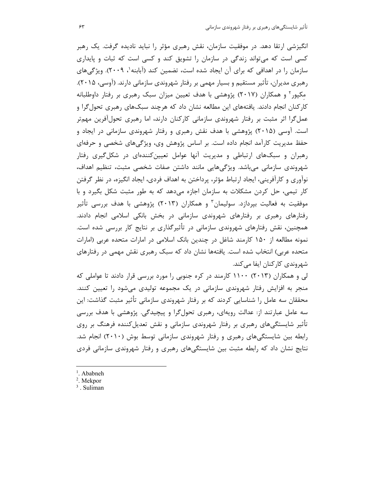انگیزشی ارتقا دهد. در موفقیت سازمان، نقش رهبری مؤثر را نباید نادیده گرفت. یک رهبر کسی است که میتواند زندگی در سازمان را تشویق کند و کسی است که ثبات و پایداری سازمان را در اهدافی که برای آن ایجاد شده است، تضمین کند (آبابنه'، ۲۰۰۹). ویژگیهای رهبری مدیران، تأثیر مستقیم و بسیار مهمی بر رفتار شهروندی سازمانی دارند. (آوسی، ۲۰۱۵). مکپور<sup>۲</sup> و همکاران (۲۰۱۷) پژوهشی با هدف تعیین میزان سبک رهبری بر رفتار داوطلبانه کارکنان انجام دادند. یافتههای این مطالعه نشان داد که هرچند سبکهای رهبری تحول *گ*را و عملگرا اثر مثبت بر رفتار شهروندی سازمانی کارکنان دارند، اما رهبری تحولآفرین مهمتر است. آوسی (۲۰۱۵) پژوهشی با هدف نقش رهبری و رفتار شهروندی سازمانی در ایجاد و حفظ مدیریت کارآمد انجام داده است. بر اساس پژوهش وی، ویژگیهای شخصی و حرفهای رهبران و سبکهای ارتباطی و مدیریت آنها عوامل تعیینکنندهای در شکلگیری رفتار شهروندی سازمانی میباشد. ویژگیهایی مانند داشتن صفات شخصی مثبت، تنظیم اهداف، نوآوری و کارآفرینی، ایجاد ارتباط مؤثر، پرداختن به اهداف فردی، ایجاد انگیزه، در نظر گرفتن کار تیمی، حل کردن مشکلات به سازمان اجازه میدهد که به طور مثبت شکل بگیرد و با موفقیت به فعالیت بپردازد. سولیمان<sup>۳</sup> و همکاران (۲۰۱۳) پژوهشی با هدف بررسی تأثیر رفتارهای رهبری بر رفتارهای شهروندی سازمانی در بخش بانکی اسلامی انجام دادند. همچنین، نقش رفتارهای شهروندی سازمانی در تأثیرگذاری بر نتایج کار بررسی شده است. نمونه مطالعه از ۱۵۰ کارمند شاغل در چندین بانک اسلامی در امارات متحده عربی (امارات متحده عربی) انتخاب شده است. یافتهها نشان داد که سبک رهبری نقش مهمی در رفتارهای شهروندي كاركنان ايفا مي كند.

لی و همکاران (۲۰۱۳) ۱۱۰۰ کارمند در کره جنوبی را مورد بررسی قرار دادند تا عواملی که منجر به افزایش رفتار شهروندی سازمانی در یک مجموعه تولیدی میشود را تعیین کنند. محققان سه عامل را شناسایی کردند که بر رفتار شهروندی سازمانی تأثیر مثبت گذاشت: این سه عامل عبارتند از: عدالت رویهای، رهبری تحولگرا و پیچیدگی. پژوهشی با هدف بررسی تأثیر شایستگیهای رهبری بر رفتار شهروندی سازمانی و نقش تعدیلکننده فرهنگ بر روی رابطه بین شایستگیهای رهبری و رفتار شهروندی سازمانی توسط بوش (۲۰۱۰) انجام شد. نتایج نشان داد که رابطه مثبت بین شایستگیهای رهبری و رفتار شهروندی سازمانی فردی

<sup>1</sup>. Ababneh

 $\overline{a}$ 

<sup>2</sup> . Mekpor

<sup>3</sup> . Suliman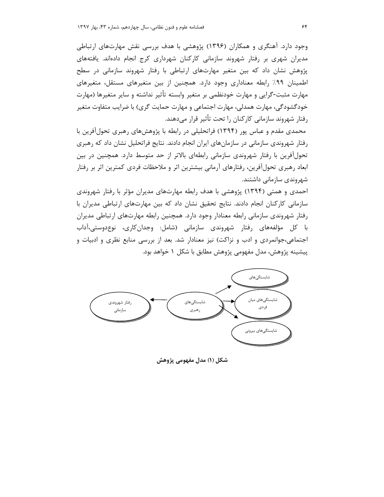وجود دارد. آهنگری و همکاران (۱۳۹۶) پژوهشی با هدف بررسی نقش مهارتهای ارتباطی مدیران شهری بر رفتار شهروند سازمانی کارکنان شهرداری کرج انجام دادهاند. یافتههای پژوهش نشان داد که بین متغیر مهارتهای ارتباطی با رفتار شهروند سازمانی در سطح اطمینان ۹۹٪ رابطه معناداری وجود دارد. همچنین از بین متغیرهای مستقل، متغیرهای مهارت مثبت-گرایی و مهارت خودنظمی بر متغیر وابسته تأثیر نداشته و سایر متغیرها (مهارت خودگشودگی، مهارت همدلی، مهارت اجتماعی و مهارت حمایت گری) با ضرایب متفاوت متغیر رفتار شهروند سازمانی کارکنان را تحت تأثیر قرار میدهند.

محمدی مقدم و عباس پور (۱۳۹۴) فراتحلیلی در رابطه با پژوهشهای رهبری تحول آفرین با رفتار شهروندی سازمانی در سازمانهای ایران انجام دادند. نتایج فراتحلیل نشان داد که رهبری تحولآفرین با رفتار شهروندی سازمانی رابطهای بالاتر از حد متوسط دارد. همچنین در بین ابعاد رهبری تحولآفرین، رفتارهای آرمانی بیشترین اثر و ملاحظات فردی کمترین اثر بر رفتار شهروندی سازمانی داشتند.

احمدی و همتی (۱۳۹۴) پژوهشی با هدف رابطه مهارتهای مدیران مؤثر با رفتار شهروندی سازمانی کارکنان انجام دادند. نتایج تحقیق نشان داد که بین مهارتهای ارتباطی مدیران با رفتار شهروندی سازمانی رابطه معنادار وجود دارد. همچنین رابطه مهارتهای ارتباطی مدیران با كل مؤلفههای رفتار شهروندی سازمانی (شامل: وجدانِکاری، نوعِدوستی،آداب اجتماعی،جوانمردی و ادب و نزاکت) نیز معنادار شد. بعد از بررسی منابع نظری و ادبیات و پیشینه پژوهش، مدل مفهومی پژوهش مطابق با شکل ۱ خواهد بود.



شكل (١) مدل مفهومي پژوهش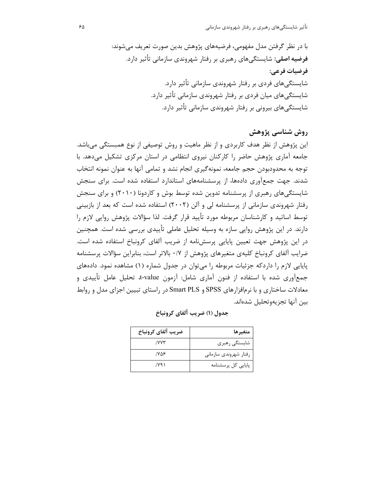>-: oT a< J>0 M(E :( #3U .); %> J7D 0 .5 FG 3 ?& :>)- 7 0 :8( :( N7H- **:.=( -> : ? 1->** .5 FG 3 ?& :>)- 7 0 : :( N7H- .5 FG 3 ?& :>)- 7 0 : 3 :( N7H- .5 FG 3 ?& :>)- 7 0 30 :( N7H-

# روش شناسي پژوهش

این پژوهش از نظر هدف کاربردی و از نظر ماهیت و روش توصیفی از نوع همبستگی میباشد. جامعه آماری پژوهش حاضر را کارکنان نیروی انتظامی در استان مرکزی تشکیل میدهد. با توجه به محدودبودن حجم جامعه، نمونهگیری انجام نشد و تمامی آنها به عنوان نمونه انتخاب شدند. جهت جمعآوری دادهها، از پرسشنامههای استاندارد استفاده شده است. برای سنجش شایستگیهای رهبری از پرسشنامه تدوین شده توسط بوش و کاردونا (۲۰۱۰) و برای سنجش رفتار شهروندی سازمانی از پرسشنامه لی و آلن (۲۰۰۲) استفاده شده است که بعد از بازبینی توسط اساتید و کارشناسان مربوطه مورد تأیید قرار گرفت. لذا سؤالات پژوهش روایی لازم را دارند. در این پژوهش روایی سازه به وسیله تحلیل عاملی تأییدی بررسی شده است. همچنین در این پژوهش جهت تعیین پایایی پرسشنامه از ضریب آلفای کرونباخ استفاده شده است. ضرایب آلفای کرونباخ کلیهی متغیرهای پژوهش از ۰/۷ بالاتر است، بنابراین سؤالات پرسشنامه پایایی لازم را داردکه جزئیات مربوطه را میتوان در جدول شماره (۱) مشاهده نمود. دادههای جمعأوري شده با استفاده از فنون أماري شامل: أزمون t-value، تحليل عامل تأييدي و معادلات ساختاری و با نرمافزارهای SPSS و Smart PLS در راستای تبیین اجزای مدل و روابط بين آنها تجزيهوتحليل شدهاند.

| ضريب آلفاي كرونباخ | متغير ها              |
|--------------------|-----------------------|
| JVVV               | شايستگى رهبرى         |
| ۷۵۶.               | رفتار شهروندى سازمانى |
| ۷۹۱.               | پایایی کل پرسشنامه    |

| جدول (۱) ضریب آلفای کرونباخ |  |  |  |  |
|-----------------------------|--|--|--|--|
|-----------------------------|--|--|--|--|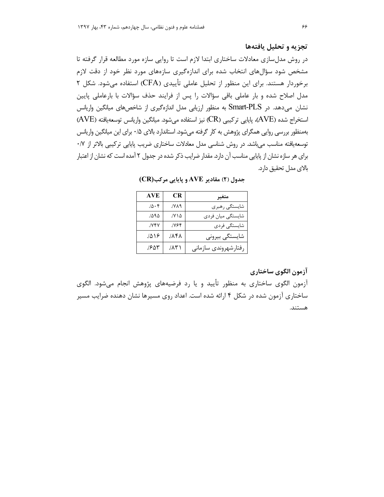#### تجزیه و تحلیل یافتهها

در روش مدلسازی معادلات ساختاری ابتدا لازم است تا روایی سازه مورد مطالعه قرار گرفته تا مشخص شود سؤالهای انتخاب شده برای اندازهگیری سازههای مورد نظر خود از دقت لازم برخوردار هستند. برای این منظور از تحلیل عاملی تأییدی (CFA) استفاده میشود. شکل ۲ مدل اصلاح شده و بار عاملی باقی سؤالات را پس از فرایند حذف سؤالات با بارعاملی پایین نشان میدهد. در Smart-PLS به منظور ارزیابی مدل اندازهگیری از شاخصهای میانگین واریانس استخراج شده (AVE)، پایایی ترکیبی (CR) نیز استفاده میشود. میانگین واریانس توسعهیافته (AVE) بهمنظور بررسی روایی همگرای پژوهش به کار گرفته می شود. استاندارد بالای ۰/۵ برای این میانگین واریانس توسعهیافته مناسب میباشد. در روش شناسی مدل معادلات ساختاری ضریب پایایی ترکیبی بالاتر از ۰/۷ برای هر سازه نشان از پایایی مناسب آن دارد. مقدار ضرایب ذکر شده در جدول ۲ آمده است که نشان از اعتبار بالاي مدل تحقيق دارد.

| جدول (۲) مقادیر AVE و پایایی مرکب(CR) |  |  |
|---------------------------------------|--|--|
|---------------------------------------|--|--|

| AVE          | CR            | متغير                |
|--------------|---------------|----------------------|
| 10.5         | ٢٨٩.          | شايستگى رهبري        |
| ۱۵۹۵.        | ۱۷۱۵.         | شايستگى ميان فردى    |
| <b>./YFY</b> | <b>۱۷۶۴</b> . | شايستگى فردى         |
| 1019         | ۸۴۸.          | شايستگى بيرونى       |
| ۶۵۳.         | ۱ ۱۸۸.        | رفتارشهروندى سازمانى |

## آزمون الگوي ساختاري

آزمون الگوی ساختاری به منظور تأیید و یا رد فرضیههای پژوهش انجام میشود. الگوی ساختاری آزمون شده در شکل ۴ ارائه شده است. اعداد روی مسیرها نشان دهنده ضرایب مسیر هستند.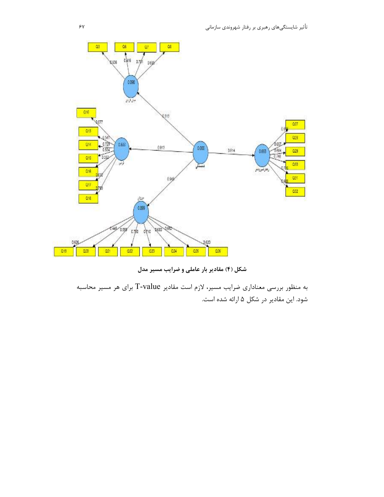

شکل (۴) مقادیر بار عاملی و ضرایب مسیر مدل

به منظور بررسی معناداری ضرایب مسیر، لازم است مقادیر T-value برای هر مسیر محاسبه شود. این مقادیر در شکل ۵ ارائه شده است.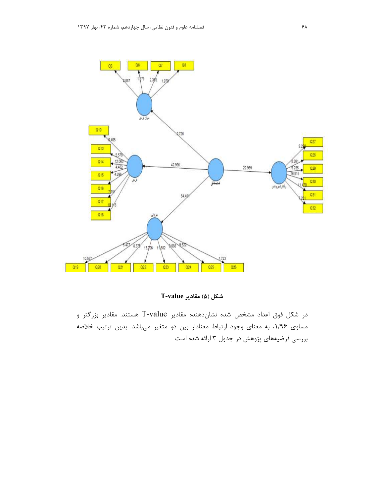

شكل (۵) مقادير T-value

در شکل فوق اعداد مشخص شده نشاندهنده مقادیر T-value هستند. مقادیر بزرگتر و مساوی ۱/۹۶، به معنای وجود ارتباط معنادار بین دو متغیر میباشد. بدین ترتیب خلاصه بررسی فرضیههای پژوهش در جدول ۳ ارائه شده است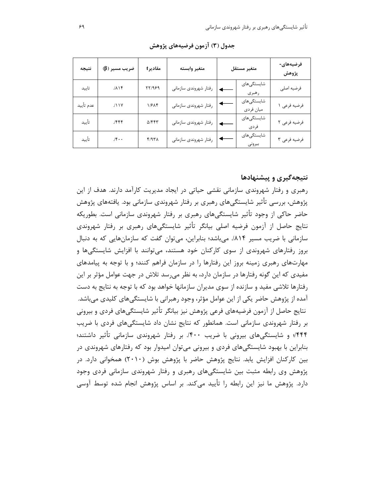| نتيجه     | ضريب مسير (β) | مقاديرt       | متغير وابسته          | متغير مستقل |                         | فرضیههای-<br>پژوهش |
|-----------|---------------|---------------|-----------------------|-------------|-------------------------|--------------------|
| تاييد     | $1/\lambda$   | 77/989        | رفتار شهروندي سازماني |             | شایستگیهای<br>رهبري     | فرضيه اصلى         |
| عدم تأييد | 111Y          | 1/۶۸۴         | رفتار شهروندي سازماني |             | شایستگیهای<br>ميان فردي | فرضيه فرعى ١       |
| تأييد     | 1555          | $\Delta$ /۴۴۳ | رفتار شهروندي سازماني |             | شایستگیهای<br>فردى      | فرضيه فرعى ٢       |
| تأييد     | 15.4          | $f/9T\Lambda$ | رفتار شهروندي سازماني |             | شایستگیهای<br>بيرونى    | فرضيه فرعى ٣       |

جدول (٣) آزمون فرضيههاي پژوهش

### نتیجه گیری و پیشنهادها

رهبری و رفتار شهروندی سازمانی نقشی حیاتی در ایجاد مدیریت کارآمد دارند. هدف از این پژوهش، بررسی تأثیر شایستگیهای رهبری بر رفتار شهروندی سازمانی بود. یافتههای پژوهش حاضر حاکی از وجود تأثیر شایستگیهای رهبری بر رفتار شهروندی سازمانی است. بطوریکه نتایج حاصل از آزمون فرضیه اصلی بیانگر تأثیر شایستگی@ای رهبری بر رفتار شهروندی سازمانی با ضریب مسیر ۸۱۴/. میباشد؛ بنابراین، می توان گفت که سازمانهایی که به دنبال بروز رفتارهای شهروندی از سوی کارکنان خود هستند، میتوانند با افزایش شایستگیها و مهارتهای رهبری زمینه بروز این رفتارها را در سازمان فراهم کنند؛ و با توجه به پیامدهای مفیدی که این گونه رفتارها در سازمان دارد، به نظر میرسد تلاش در جهت عوامل مؤثر بر این رفتارها تلاشی مفید و سازنده از سوی مدیران سازمانها خواهد بود که با توجه به نتایج به دست آمده از پژوهش حاضر یکی از این عوامل مؤثر، وجود رهبرانی با شایستگی های کلیدی می باشد. نتايج حاصل از آزمون فرضيههاي فرعي پژوهش نيز بيانگر تأثير شايستگيهاي فردي و بيروني بر رفتار شهروندی سازمانی است. همانطور که نتایج نشان داد شایستگیهای فردی با ضریب ۴۴۴٪ و شایستگی های بیرونی با ضریب ۴۰۰٪. بر رفتار شهروندی سازمانی تأثیر داشتند؛ بنابراین با بهبود شایستگیهای فردی و بیرونی میتوان امیدوار بود که رفتارهای شهروندی در بین کارکنان افزایش یابد. نتایج پژوهش حاضر با پژوهش بوش (۲۰۱۰) همخوانی دارد. در پژوهش وی رابطه مثبت بین شایستگیهای رهبری و رفتار شهروندی سازمانی فردی وجود دارد. پژوهش ما نیز این رابطه را تأیید می کند. بر اساس پژوهش انجام شده توسط آوسی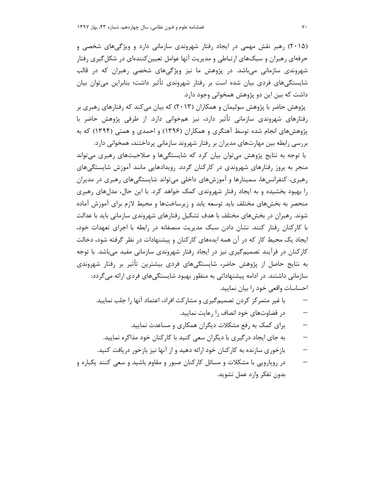(۲۰۱۵) رهبر نقش مهمی در ایجاد رفتار شهروندی سازمانی دارد و ویژگیهای شخصی و حرفهای رهبران و سبکهای ارتباطی و مدیریت آنها عوامل تعیینکنندهای در شکل *گ*یری رفتار شهروندی سازمانی می باشد. در پژوهش ما نیز ویژگیهای شخصی رهبران که در قالب شایستگیهای فردی بیان شده است بر رفتار شهروندی تأثیر داشت؛ بنابراین میتوان بیان داشت که بین این دو پژوهش همخوانی وجود دارد.

یژوهش حاضر با پژوهش سولیمان و همکاران (۲۰۱۳) که بیان می کند که رفتارهای رهبری بر رفتارهای شهروندی سازمانی تأثیر دارد، نیز همخوانی دارد. از طرفی پژوهش حاضر با پژوهشهای انجام شده توسط آهنگری و همکاران (۱۳۹۶) و احمدی و همتی (۱۳۹۴) که به بررسی رابطه بین مهارتهای مدیران بر رفتار شهروند سازمانی پرداختند، همخوانی دارد.

با توجه به نتایج پژوهش میتوان بیان کرد که شایستگیها و صلاحیتهای رهبری میتواند منجر به بروز رفتارهای شهروندی در کارکنان گردد. رویدادهایی مانند آموزش شایستگیهای رهبری، کنفرانسها، سمینارها و آموزشهای داخلی میتواند شایستگیهای رهبری در مدیران را بهبود بخشیده و به ایجاد رفتار شهروندی کمک خواهد کرد. با این حال، مدلهای رهبری منحصر به بخشهای مختلف باید توسعه یابد و زیرساختها و محیط لازم برای آموزش آماده شوند. رهبران در بخشهای مختلف با هدف تشکیل رفتارهای شهروندی سازمانی باید با عدالت با کارکنان رفتار کنند. نشان دادن سبک مدیریت منصفانه در رابطه با اجرای تعهدات خود، ایجاد یک محیط کار که در آن همه ایدههای کارکنان و پیشنهادات در نظر گرفته شود، دخالت کارکنان در فرآیند تصمیمگیری نیز در ایجاد رفتار شهروندی سازمانی مفید میباشد. با توجه به نتایج حاصل از پژوهش حاضر، شایستگیهای فردی بیشترین تأثیر بر رفتار شهروندی سازمانی داشتند. در ادامه پیشنهاداتی به منظور بهبود شایستگیهای فردی ارائه میگردد: احساسات واقعی خود را بیان نمایید.

- با غیر متمرکز کردن تصمیمگیری و مشارکت افراد، اعتماد آنها را جلب نمایید.
	- در قضاوتهای خود انصاف را رعایت نمایید.
	- برای کمک به رفع مشکلات دیگران همکاری و مساعدت نمایید.
	- به جای ایجاد در گیری با دیگران سعی کنید با کارکنان خود مذاکره نمایید.
- بازخوری سازنده به کارکنان خود ارائه دهید و از آنها نیز بازخور دریافت کنید.
- در روپارویی با مشکلات و مسائل کارکنان صبور و مقاوم باشید و سعی کنند یکباره و بدون تفكر وارد عمل نشويد.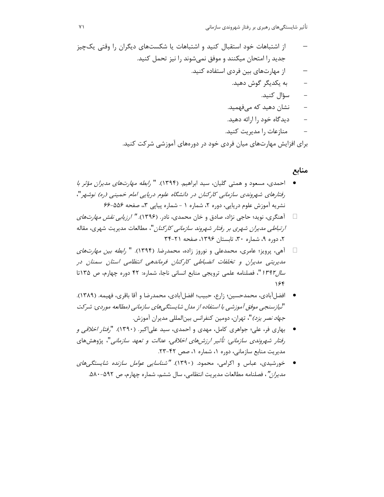- از اشتباهات خود استقبال کنید و اشتباهات یا شکستهای دیگران را وقتی یکچیز جدید را امتحان میکنند و موفق نمی شوند را نیز تحمل کنید.
	- از مهارتهای بین فردی استفاده کنید.
		- به یکدیگر گوش دهید.
			- سؤال كنيد.  $\sim$
		- نشان دھید که مے فهمید.
		- دیدگاه خود را ارائه دهید.
		- منازعات را مدیریت کنید.

برای افزایش مهارتهای میان فردی خود در دورههای آموزشی شرکت کنید.

# منابع

- احمدی، مسعود و همتی گلیان، سید ابراهیم. (۱۳۹۴). " *رابطه مهارتهای مدیران مؤثر با* رفتارهای شهروندی سازمانی کارکنان در دانشگاه علوم دریایی امام خمینی (ره) نوشهر"، نشریه آموزش علوم دریایی، دوره ۲، شماره ۱ - شماره پیاپی ۳،، صفحه ۵۵۶-۶۶
- آهنگری، نوید؛ حاجی نژاد، صادق و خان محمدی، نادر. (۱۳۹۶). *" ارزیابی نقش مهارتهای*  $\Box$ *ارتباطی مدیران شهری بر رفتار شهروند سازمانی کارکنان*"، مطالعات مدیریت شهری، مقاله ٢، دوره ٩، شماره ٣٠، تابستان ١٣٩۶، صفحه ٢١-٣۴
- آهي، پرويز؛ عامري، محمدعلي و نوروز زاده، محمدرضا. (۱۳۹۴). " *رابطه بين مهارتهاي*  $\Box$ مدیریتی مدیران و تخلفات انضباطی کارکنان فرماندهی انتظامی استان سمنان در سال ۱۳۹۲ "، فصلنامه علمی ترویجی منابع انسانی ناجا، شماره: ۴۲ دوره چهارم، ص ۱۳۵تا ۱۶۴
- افضلآبادي، محمدحسين؛ زارع، حبيب؛ افضلآبادي، محمدرضا و آقا باقرى، فهيمه. (١٣٨٩). "لیازسنجی موفق آموزشی با استفاده از مدل شایستگیهای سازمانی (مطالعه موردی: شرکت *جهاد نصر يزد)*"، تهران، دومين كنفرانس بين|لمللي مديران آموزش.
- بهاری فر، علی؛ جواهری کامل، مهدی و احمدی، سید علی|کبر. (۱۳۹۰). "*رفتار اخلاقی و* رفتار شهروندی سازمانی: تأثیر ارزشهای اخلاقی، عدالت و تعهد سازمانی"، پژوهشهای مدیریت منابع سازمانی، دوره ۱، شماره ۱، صص ۴۲-۲۳.
- خورشیدی، عباس و اکرامی، محمود. (۱۳۹۰). *"شناسایی عوامل سازنده شایستگے،های* مديران"، فصلنامه مطالعات مديريت انتظامى، سال ششم، شماره چهارم، ص ٥٩٢-٥٨٠.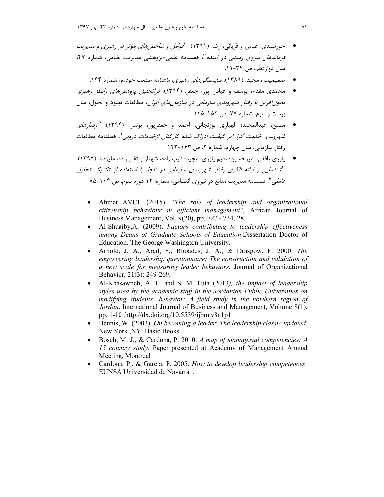- خورشیدی، عباس و قربانی، رضا. (۱۳۹۱). "*عوامل و شاخص های مؤثر در رهبری و مدیریت* فرم*اندهان نیروی زمینی در آینده*"، فصلنامه علمی-پژوهشی مدیریت نظامی، شماره ۴۷، سال دوازدهم، ص ۳۴-۱۱.
	- مصمیمیت ، مجید. (۱۳۸۹). *شایستگے های , هیری، ماهنامه صنعت خود*رو، شماره ۱۴۴.
- محمدی مقدم، یوسف و عباس پور، جعفر. (۱۳۹۴). *فراتحلیل پژوهشهای رابطه رهبری تحول آفرین با رفتار شهروندی سازمانی در سازمانهای ایران*، مطالعات بهبود و تحول، سال بیست و سوم، شماره ۷۷، ص ۱۵۲-۱۲۵.
- مصلح، عبدالمجيد؛ الهياري بوزنجاني، احمد و جعفريور، يونس. (١٣٩۴). "ر*فتارهاي* شهروندي خدمت گرا: اثر كيفيت ادراك شده كاركنان ازخدمات دروني"، فصلنامه مطالعات , فتار سازمانی، سال چهارم، شماره ۲، ص ۱۶۳-۱۴۳.
- ياوري بافقي، اميرحسين؛ نعيم ياوري، مجيد؛ نايب زاده، شهناز و تقي زاده، عليرضا. (١٣٩۴). "شناسایی و ارائه الگوی رفتار شهروندی سازمانی در ناجا، با استفاده از تکنیک تحلیل ع*املي"،* فصلنامه مديريت منابع در نيروي انتظامي، شماره: ١٢ دوره سوم، ص ١٠۴-٨۵.
	- Ahmet AVCI. (2015). "*The role of leadership and organizational citizenship behaviour in efficient management*", African Journal of Business Management, Vol. 9(20), pp. 727 - 734, 28.
	- Al-Shuaiby,A. (2009). *Factors contributing to leadership effectiveness among Deans of Graduate Schools of Education*.Dissertation Doctor of Education. The George Washington University.
	- Arnold, J. A., Arad, S., Rhoades, J. A., & Drasgow, F. 2000. *The empowering leadership questionnaire: The construction and validation of a new scale for measuring leader behaviors.* Journal of Organizational Behavior, 21(3): 249-269.
	- Al-Khasawneh, A. L. and S. M. Futa (2013*), the impact of leadership styles used by the academic staff in the Jordanian Public Universities on modifying students' behavior: A field study in the northern region of Jordan*. International Journal of Business and Management, Volume 8(1), pp. 1-10 . http://dx.doi.org/10.5539/ijbm.v8n1p1
	- Bennis, W. (2003). *On becoming a leader: The leadership classic updated*. New York ,NY: Basic Books.
	- Bosch, M. J., & Cardona, P. 2010. *A map of managerial competencies: A 15 country study.* Paper presented at Academy of Management Annual Meeting, Montreal
	- Cardona, P., & Garcia, P. 2005. *How to develop leadership competences* EUNSA Universidad de Navarra .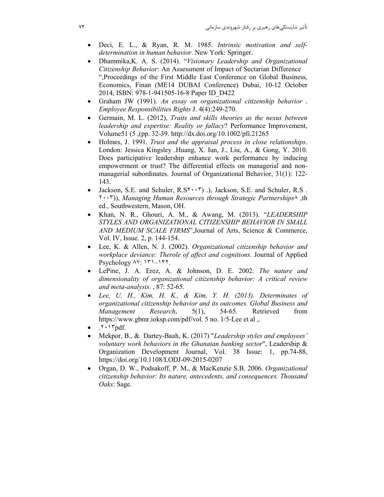- Deci, E. L., & Ryan, R. M. 1985. *Intrinsic motivation and selfdetermination in human behavior*. New York: Springer.
- Dhammika,K. A. S. (2014). "*Visionary Leadership and Organizational Citizenship Behavior*: An Assessment of Impact of Sectarian Difference ",Proceedings of the First Middle East Conference on Global Business, Economics, Finan (ME14 DUBAI Conference) Dubai, 10-12 October 2014, ISBN: 978-1-941505-16-8 Paper ID\_D422
- Graham JW (1991). *An essay on organizational citizenship behavior* . *Employee Responsibilities Rights* J. 4(4):249-270.
- Germain, M. L. (2012), *Traits and skills theories as the nexus between leadership and expertise: Reality or fallacy*? Performance Improvement, Volume51 (5 ,(pp. 32-39. http://dx.doi.org/10.1002/pfi.21265
- Holmes, J. 1991. *Trust and the appraisal process in close relationships*. London: Jessica Kingsley . Huang, X. Iun, J., Liu, A., & Gong, Y. 2010. Does participative leadership enhance work performance by inducing empowerment or trust? The differential effects on managerial and nonmanagerial subordinates. Journal of Organizational Behavior, 31(1): 122- 143.
- Jackson, S.E. and Schuler,  $R.S<sup>Y</sup> \cdot \cdot \cdot Y$  .), Jackson, S.E. and Schuler, R.S . ٢٠٠٣ ), ) *Managing Human Resources through Strategic Partnerships* ,٨ th ed., Southwestern, Mason, OH.
- Khan, N. R., Ghouri, A. M., & Awang, M. (2013). "*LEADERSHIP STYLES AND ORGANIZATIONAL CITIZENSHIP BEHAVIOR IN SMALL AND MEDIUM SCALE FIRMS*",Journal of Arts, Science & Commerce, Vol. IV, Issue. 2, p. 144-154.
- Lee, K. & Allen, N. J. (2002). *Organizational citizenship behavior and workplace deviance: Therole of affect and cognitions*. Journal of Applied Psychology ٨٧: ١٣١–١۴٢.
- LePine, J. A. Erez, A. & Johnson, D. E. 2002. *The nature and dimensionality of organizational citizenship behavior: A critical review and meta-analysis*. , 87: 52-65.
- *Lee, U. H., Kim, H. K., & Kim, Y. H. (2013). Determinates of organizational citizenship behavior and its outcomes. Global Business and Management Research*, 5(1), 54-65. Retrieved from https://www.gbmr.ioksp.com/pdf/vol. 5 no. 1/5-Lee et al ,.
- $.7 \cdot 17$ pdf.
- Mekpor, B., & Dartey-Baah, K. (2017) "*Leadership styles and employees' voluntary work behaviors in the Ghanaian banking sector*", Leadership & Organization Development Journal, Vol. 38 Issue: 1, pp.74-88, https://doi.org/10.1108/LODJ-09-2015-0207
- Organ, D. W., Podsakoff, P. M., & MacKenzie S.B. 2006. *Organizational citizenship behavior: Its nature, antecedents, and consequences. Thousand Oaks*: Sage.